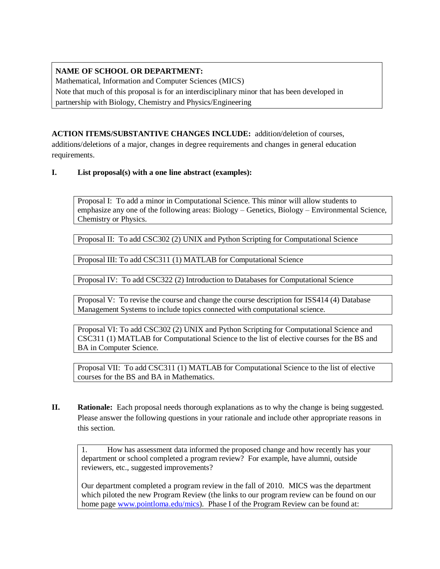# **NAME OF SCHOOL OR DEPARTMENT:**

Mathematical, Information and Computer Sciences (MICS) Note that much of this proposal is for an interdisciplinary minor that has been developed in partnership with Biology, Chemistry and Physics/Engineering

# **ACTION ITEMS/SUBSTANTIVE CHANGES INCLUDE:** addition/deletion of courses,

additions/deletions of a major, changes in degree requirements and changes in general education requirements.

# **I. List proposal(s) with a one line abstract (examples):**

Proposal I: To add a minor in Computational Science. This minor will allow students to emphasize any one of the following areas: Biology – Genetics, Biology – Environmental Science, Chemistry or Physics.

Proposal II: To add CSC302 (2) UNIX and Python Scripting for Computational Science

Proposal III: To add CSC311 (1) MATLAB for Computational Science

Proposal IV: To add CSC322 (2) Introduction to Databases for Computational Science

Proposal V: To revise the course and change the course description for ISS414 (4) Database Management Systems to include topics connected with computational science.

Proposal VI: To add CSC302 (2) UNIX and Python Scripting for Computational Science and CSC311 (1) MATLAB for Computational Science to the list of elective courses for the BS and BA in Computer Science.

Proposal VII: To add CSC311 (1) MATLAB for Computational Science to the list of elective courses for the BS and BA in Mathematics.

**II. Rationale:** Each proposal needs thorough explanations as to why the change is being suggested. Please answer the following questions in your rationale and include other appropriate reasons in this section.

1. How has assessment data informed the proposed change and how recently has your department or school completed a program review? For example, have alumni, outside reviewers, etc., suggested improvements?

Our department completed a program review in the fall of 2010. MICS was the department which piloted the new Program Review (the links to our program review can be found on our home page [www.pointloma.edu/mics\)](http://www.pointloma.edu/mics). Phase I of the Program Review can be found at: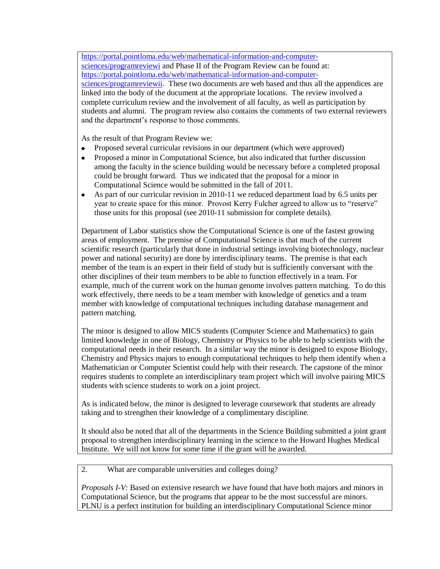[https://portal.pointloma.edu/web/mathematical-information-and-computer-](https://portal.pointloma.edu/web/mathematical-information-and-computer-sciences/programreviewi)

[sciences/programreviewi](https://portal.pointloma.edu/web/mathematical-information-and-computer-sciences/programreviewi) and Phase II of the Program Review can be found at: [https://portal.pointloma.edu/web/mathematical-information-and-computer-](https://portal.pointloma.edu/web/mathematical-information-and-computer-sciences/programreviewii)

[sciences/programreviewii.](https://portal.pointloma.edu/web/mathematical-information-and-computer-sciences/programreviewii) These two documents are web based and thus all the appendices are linked into the body of the document at the appropriate locations. The review involved a complete curriculum review and the involvement of all faculty, as well as participation by students and alumni. The program review also contains the comments of two external reviewers and the department's response to those comments.

As the result of that Program Review we:

- Proposed several curricular revisions in our department (which were approved)  $\bullet$
- Proposed a minor in Computational Science, but also indicated that further discussion  $\bullet$ among the faculty in the science building would be necessary before a completed proposal could be brought forward. Thus we indicated that the proposal for a minor in Computational Science would be submitted in the fall of 2011.
- $\bullet$ As part of our curricular revision in 2010-11 we reduced department load by 6.5 units per year to create space for this minor. Provost Kerry Fulcher agreed to allow us to "reserve" those units for this proposal (see 2010-11 submission for complete details).

Department of Labor statistics show the Computational Science is one of the fastest growing areas of employment. The premise of Computational Science is that much of the current scientific research (particularly that done in industrial settings involving biotechnology, nuclear power and national security) are done by interdisciplinary teams. The premise is that each member of the team is an expert in their field of study but is sufficiently conversant with the other disciplines of their team members to be able to function effectively in a team. For example, much of the current work on the human genome involves pattern matching. To do this work effectively, there needs to be a team member with knowledge of genetics and a team member with knowledge of computational techniques including database management and pattern matching.

The minor is designed to allow MICS students (Computer Science and Mathematics) to gain limited knowledge in one of Biology, Chemistry or Physics to be able to help scientists with the computational needs in their research. In a similar way the minor is designed to expose Biology, Chemistry and Physics majors to enough computational techniques to help them identify when a Mathematician or Computer Scientist could help with their research. The capstone of the minor requires students to complete an interdisciplinary team project which will involve pairing MICS students with science students to work on a joint project.

As is indicated below, the minor is designed to leverage coursework that students are already taking and to strengthen their knowledge of a complimentary discipline.

It should also be noted that all of the departments in the Science Building submitted a joint grant proposal to strengthen interdisciplinary learning in the science to the Howard Hughes Medical Institute. We will not know for some time if the grant will be awarded.

2. What are comparable universities and colleges doing?

*Proposals I-V:* Based on extensive research we have found that have both majors and minors in Computational Science, but the programs that appear to be the most successful are minors. PLNU is a perfect institution for building an interdisciplinary Computational Science minor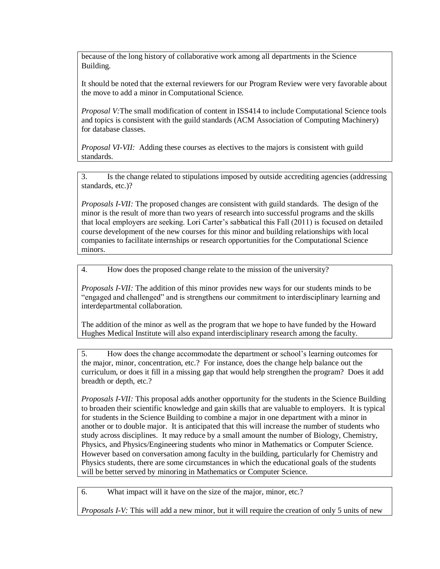because of the long history of collaborative work among all departments in the Science Building.

It should be noted that the external reviewers for our Program Review were very favorable about the move to add a minor in Computational Science.

*Proposal V:*The small modification of content in ISS414 to include Computational Science tools and topics is consistent with the guild standards (ACM Association of Computing Machinery) for database classes.

*Proposal VI-VII:* Adding these courses as electives to the majors is consistent with guild standards.

3. Is the change related to stipulations imposed by outside accrediting agencies (addressing standards, etc.)?

*Proposals I-VII:* The proposed changes are consistent with guild standards. The design of the minor is the result of more than two years of research into successful programs and the skills that local employers are seeking. Lori Carter's sabbatical this Fall (2011) is focused on detailed course development of the new courses for this minor and building relationships with local companies to facilitate internships or research opportunities for the Computational Science minors.

4. How does the proposed change relate to the mission of the university?

*Proposals I-VII:* The addition of this minor provides new ways for our students minds to be "engaged and challenged" and is strengthens our commitment to interdisciplinary learning and interdepartmental collaboration.

The addition of the minor as well as the program that we hope to have funded by the Howard Hughes Medical Institute will also expand interdisciplinary research among the faculty.

5. How does the change accommodate the department or school's learning outcomes for the major, minor, concentration, etc.? For instance, does the change help balance out the curriculum, or does it fill in a missing gap that would help strengthen the program? Does it add breadth or depth, etc.?

*Proposals I-VII:* This proposal adds another opportunity for the students in the Science Building to broaden their scientific knowledge and gain skills that are valuable to employers. It is typical for students in the Science Building to combine a major in one department with a minor in another or to double major. It is anticipated that this will increase the number of students who study across disciplines. It may reduce by a small amount the number of Biology, Chemistry, Physics, and Physics/Engineering students who minor in Mathematics or Computer Science. However based on conversation among faculty in the building, particularly for Chemistry and Physics students, there are some circumstances in which the educational goals of the students will be better served by minoring in Mathematics or Computer Science.

6. What impact will it have on the size of the major, minor, etc.?

*Proposals I-V:* This will add a new minor, but it will require the creation of only 5 units of new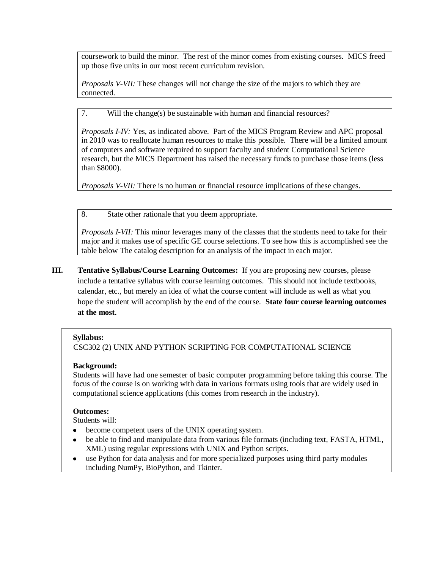coursework to build the minor. The rest of the minor comes from existing courses. MICS freed up those five units in our most recent curriculum revision.

*Proposals V-VII:* These changes will not change the size of the majors to which they are connected.

7. Will the change(s) be sustainable with human and financial resources?

*Proposals I-IV:* Yes, as indicated above. Part of the MICS Program Review and APC proposal in 2010 was to reallocate human resources to make this possible. There will be a limited amount of computers and software required to support faculty and student Computational Science research, but the MICS Department has raised the necessary funds to purchase those items (less than \$8000).

*Proposals V-VII:* There is no human or financial resource implications of these changes.

8. State other rationale that you deem appropriate.

*Proposals I-VII:* This minor leverages many of the classes that the students need to take for their major and it makes use of specific GE course selections. To see how this is accomplished see the table below The catalog description for an analysis of the impact in each major.

**III. Tentative Syllabus/Course Learning Outcomes:** If you are proposing new courses, please include a tentative syllabus with course learning outcomes. This should not include textbooks, calendar, etc., but merely an idea of what the course content will include as well as what you hope the student will accomplish by the end of the course. **State four course learning outcomes at the most.** 

#### **Syllabus:**

CSC302 (2) UNIX AND PYTHON SCRIPTING FOR COMPUTATIONAL SCIENCE

#### **Background:**

Students will have had one semester of basic computer programming before taking this course. The focus of the course is on working with data in various formats using tools that are widely used in computational science applications (this comes from research in the industry).

#### **Outcomes:**

Students will:

- $\bullet$ become competent users of the UNIX operating system.
- be able to find and manipulate data from various file formats (including text, FASTA, HTML, XML) using regular expressions with UNIX and Python scripts.
- use Python for data analysis and for more specialized purposes using third party modules  $\bullet$ including NumPy, BioPython, and Tkinter.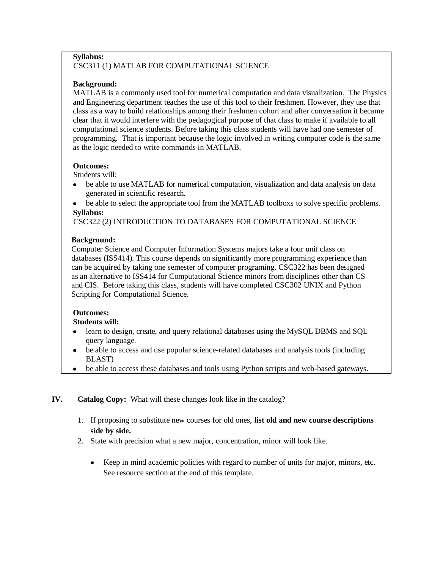#### **Syllabus:** CSC311 (1) MATLAB FOR COMPUTATIONAL SCIENCE

## **Background:**

MATLAB is a commonly used tool for numerical computation and data visualization. The Physics and Engineering department teaches the use of this tool to their freshmen. However, they use that class as a way to build relationships among their freshmen cohort and after conversation it became clear that it would interfere with the pedagogical purpose of that class to make if available to all computational science students. Before taking this class students will have had one semester of programming. That is important because the logic involved in writing computer code is the same as the logic needed to write commands in MATLAB.

### **Outcomes:**

Students will:

- be able to use MATLAB for numerical computation, visualization and data analysis on data  $\bullet$ generated in scientific research.
- be able to select the appropriate tool from the MATLAB toolboxs to solve specific problems.

### **Syllabus:**

CSC322 (2) INTRODUCTION TO DATABASES FOR COMPUTATIONAL SCIENCE

# **Background:**

 Computer Science and Computer Information Systems majors take a four unit class on databases (ISS414). This course depends on significantly more programming experience than can be acquired by taking one semester of computer programing. CSC322 has been designed as an alternative to ISS414 for Computational Science minors from disciplines other than CS and CIS. Before taking this class, students will have completed CSC302 UNIX and Python Scripting for Computational Science.

### **Outcomes:**

### **Students will:**

- learn to design, create, and query relational databases using the MySQL DBMS and SQL  $\bullet$ query language.
- be able to access and use popular science-related databases and analysis tools (including  $\bullet$ BLAST)
- be able to access these databases and tools using Python scripts and web-based gateways.  $\bullet$

# **IV. Catalog Copy:** What will these changes look like in the catalog?

- 1. If proposing to substitute new courses for old ones, **list old and new course descriptions side by side.**
- 2. State with precision what a new major, concentration, minor will look like.
	- Keep in mind academic policies with regard to number of units for major, minors, etc. See resource section at the end of this template.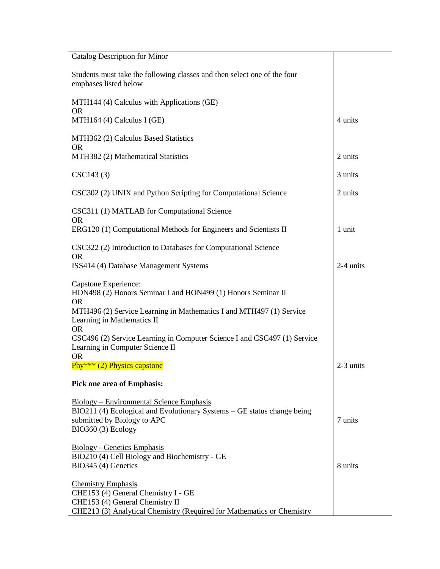| Catalog Description for Minor                                                                                                                                                   |             |
|---------------------------------------------------------------------------------------------------------------------------------------------------------------------------------|-------------|
| Students must take the following classes and then select one of the four<br>emphases listed below                                                                               |             |
| MTH144 (4) Calculus with Applications (GE)<br><b>OR</b>                                                                                                                         |             |
| MTH164 (4) Calculus I (GE)                                                                                                                                                      | 4 units     |
| MTH362 (2) Calculus Based Statistics<br><b>OR</b>                                                                                                                               |             |
| MTH382 (2) Mathematical Statistics                                                                                                                                              | 2 units     |
| CSC143 (3)                                                                                                                                                                      | 3 units     |
| CSC302 (2) UNIX and Python Scripting for Computational Science                                                                                                                  | 2 units     |
| CSC311 (1) MATLAB for Computational Science<br><b>OR</b>                                                                                                                        |             |
| ERG120 (1) Computational Methods for Engineers and Scientists II                                                                                                                | 1 unit      |
| CSC322 (2) Introduction to Databases for Computational Science<br><b>OR</b>                                                                                                     |             |
| ISS414 (4) Database Management Systems                                                                                                                                          | 2-4 units   |
| Capstone Experience:<br>HON498 (2) Honors Seminar I and HON499 (1) Honors Seminar II<br><b>OR</b>                                                                               |             |
| MTH496 (2) Service Learning in Mathematics I and MTH497 (1) Service<br>Learning in Mathematics II<br><b>OR</b>                                                                  |             |
| CSC496 (2) Service Learning in Computer Science I and CSC497 (1) Service<br>Learning in Computer Science II<br><b>OR</b>                                                        |             |
| Phy*** $(2)$ Physics capstone                                                                                                                                                   | $2-3$ units |
| <b>Pick one area of Emphasis:</b>                                                                                                                                               |             |
| <b>Biology</b> – Environmental Science Emphasis<br>BIO211 (4) Ecological and Evolutionary Systems – GE status change being<br>submitted by Biology to APC<br>BIO360 (3) Ecology | 7 units     |
| <b>Biology - Genetics Emphasis</b>                                                                                                                                              |             |
| BIO210 (4) Cell Biology and Biochemistry - GE<br>BIO345 (4) Genetics                                                                                                            | 8 units     |
| <b>Chemistry Emphasis</b>                                                                                                                                                       |             |
| CHE153 (4) General Chemistry I - GE                                                                                                                                             |             |
| CHE153 (4) General Chemistry II<br>CHE213 (3) Analytical Chemistry (Required for Mathematics or Chemistry                                                                       |             |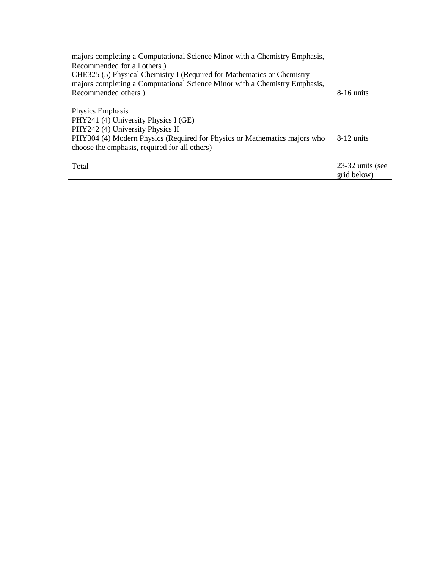| majors completing a Computational Science Minor with a Chemistry Emphasis,<br>Recommended for all others)                  |                                 |
|----------------------------------------------------------------------------------------------------------------------------|---------------------------------|
| CHE325 (5) Physical Chemistry I (Required for Mathematics or Chemistry                                                     |                                 |
| majors completing a Computational Science Minor with a Chemistry Emphasis,                                                 |                                 |
| Recommended others)                                                                                                        | $8-16$ units                    |
| Physics Emphasis<br>PHY241 (4) University Physics I (GE)                                                                   |                                 |
| PHY242 (4) University Physics II                                                                                           |                                 |
| PHY304 (4) Modern Physics (Required for Physics or Mathematics majors who<br>choose the emphasis, required for all others) | $8-12$ units                    |
| Total                                                                                                                      | 23-32 units (see<br>grid below) |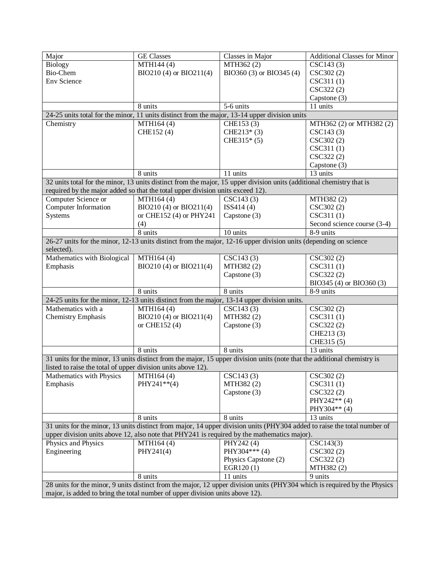| Major                                                                                                                     | <b>GE Classes</b>       | Classes in Major         | <b>Additional Classes for Minor</b> |  |
|---------------------------------------------------------------------------------------------------------------------------|-------------------------|--------------------------|-------------------------------------|--|
| Biology                                                                                                                   | MTH144 (4)              | MTH362 (2)               | CSC143(3)                           |  |
| Bio-Chem                                                                                                                  | BIO210 (4) or BIO211(4) | BIO360 (3) or BIO345 (4) | CSC302 (2)                          |  |
| <b>Env Science</b>                                                                                                        |                         |                          | CSC311(1)                           |  |
|                                                                                                                           |                         |                          | CSC322 (2)                          |  |
|                                                                                                                           |                         |                          | Capstone (3)                        |  |
|                                                                                                                           | 8 units                 | 5-6 units                | 11 units                            |  |
| 24-25 units total for the minor, 11 units distinct from the major, 13-14 upper division units                             |                         |                          |                                     |  |
| Chemistry                                                                                                                 | MTH164 (4)              | CHE153 (3)               |                                     |  |
|                                                                                                                           |                         |                          | MTH362 (2) or MTH382 (2)            |  |
|                                                                                                                           | CHE152 (4)              | $CHE213*(3)$             | CSC143(3)                           |  |
|                                                                                                                           |                         | $CHE315* (5)$            | CSC302 (2)                          |  |
|                                                                                                                           |                         |                          | CSC311(1)                           |  |
|                                                                                                                           |                         |                          | CSC322 (2)                          |  |
|                                                                                                                           |                         |                          | Capstone (3)                        |  |
|                                                                                                                           | 8 units                 | 11 units                 | 13 units                            |  |
| 32 units total for the minor, 13 units distinct from the major, 15 upper division units (additional chemistry that is     |                         |                          |                                     |  |
| required by the major added so that the total upper division units exceed 12).                                            |                         |                          |                                     |  |
| Computer Science or                                                                                                       | MTH164 (4)              | CSC143(3)                | MTH382 (2)                          |  |
| Computer Information                                                                                                      | BIO210 (4) or BIO211(4) | ISS414 (4)               | CSC302 (2)                          |  |
| Systems                                                                                                                   | or CHE152 (4) or PHY241 | Capstone (3)             | CSC311(1)                           |  |
|                                                                                                                           | (4)                     |                          | Second science course (3-4)         |  |
|                                                                                                                           | 8 units                 | 10 units                 | 8-9 units                           |  |
| 26-27 units for the minor, 12-13 units distinct from the major, 12-16 upper division units (depending on science          |                         |                          |                                     |  |
| selected).                                                                                                                |                         |                          |                                     |  |
| Mathematics with Biological                                                                                               | MTH164 (4)              | CSC143(3)                | CSC302 (2)                          |  |
| Emphasis                                                                                                                  | BIO210 (4) or BIO211(4) | MTH382 (2)               | CSC311(1)                           |  |
|                                                                                                                           |                         | Capstone (3)             | CSC322 (2)                          |  |
|                                                                                                                           |                         |                          | BIO345 (4) or BIO360 (3)            |  |
|                                                                                                                           | 8 units                 | 8 units                  | 8-9 units                           |  |
| 24-25 units for the minor, 12-13 units distinct from the major, 13-14 upper division units.                               |                         |                          |                                     |  |
| Mathematics with a                                                                                                        | MTH164 (4)              | CSC143(3)                | CSC302 (2)                          |  |
| <b>Chemistry Emphasis</b>                                                                                                 | BIO210 (4) or BIO211(4) | MTH382 (2)               | CSC311(1)                           |  |
|                                                                                                                           | or CHE152 (4)           | Capstone (3)             | CSC322 (2)                          |  |
|                                                                                                                           |                         |                          | CHE213 (3)                          |  |
|                                                                                                                           |                         |                          | CHE315 (5)                          |  |
|                                                                                                                           | 8 units                 | 8 units                  | 13 units                            |  |
|                                                                                                                           |                         |                          |                                     |  |
| 31 units for the minor, 13 units distinct from the major, 15 upper division units (note that the additional chemistry is  |                         |                          |                                     |  |
| listed to raise the total of upper division units above 12).                                                              |                         |                          |                                     |  |
| Mathematics with Physics                                                                                                  | MTH164 (4)              | CSC143(3)                | CSC302 (2)                          |  |
| Emphasis                                                                                                                  | PHY241**(4)             | MTH382 (2)               | CSC311(1)                           |  |
|                                                                                                                           |                         | Capstone (3)             | CSC322 (2)                          |  |
|                                                                                                                           |                         |                          | PHY242** (4)                        |  |
|                                                                                                                           |                         |                          | PHY304** (4)                        |  |
|                                                                                                                           | 8 units                 | 8 units                  | 13 units                            |  |
| 31 units for the minor, 13 units distinct from major, 14 upper division units (PHY304 added to raise the total number of  |                         |                          |                                     |  |
| upper division units above 12, also note that PHY241 is required by the mathematics major).                               |                         |                          |                                     |  |
| Physics and Physics                                                                                                       | MTH164 (4)              | PHY242 (4)               | CSC143(3)                           |  |
| Engineering                                                                                                               | PHY241(4)               | PHY304*** (4)            | CSC302 (2)                          |  |
|                                                                                                                           |                         | Physics Capstone (2)     | CSC322 (2)                          |  |
|                                                                                                                           |                         | EGR120(1)                | MTH382 (2)                          |  |
|                                                                                                                           | 8 units                 | 11 units                 | 9 units                             |  |
| 28 units for the minor, 9 units distinct from the major, 12 upper division units (PHY304 which is required by the Physics |                         |                          |                                     |  |
| major, is added to bring the total number of upper division units above 12).                                              |                         |                          |                                     |  |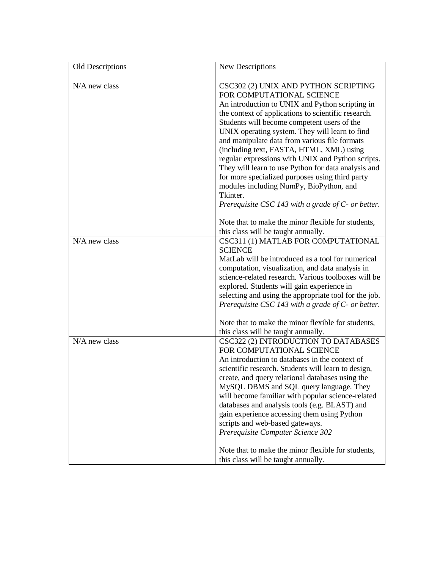| Old Descriptions | New Descriptions                                                                                                                                                                                                                                                                                                                                                                                                                                                                                                                                                                                                                                      |
|------------------|-------------------------------------------------------------------------------------------------------------------------------------------------------------------------------------------------------------------------------------------------------------------------------------------------------------------------------------------------------------------------------------------------------------------------------------------------------------------------------------------------------------------------------------------------------------------------------------------------------------------------------------------------------|
| $N/A$ new class  | CSC302 (2) UNIX AND PYTHON SCRIPTING<br>FOR COMPUTATIONAL SCIENCE<br>An introduction to UNIX and Python scripting in<br>the context of applications to scientific research.<br>Students will become competent users of the<br>UNIX operating system. They will learn to find<br>and manipulate data from various file formats<br>(including text, FASTA, HTML, XML) using<br>regular expressions with UNIX and Python scripts.<br>They will learn to use Python for data analysis and<br>for more specialized purposes using third party<br>modules including NumPy, BioPython, and<br>Tkinter.<br>Prerequisite CSC 143 with a grade of C- or better. |
|                  | Note that to make the minor flexible for students,                                                                                                                                                                                                                                                                                                                                                                                                                                                                                                                                                                                                    |
|                  | this class will be taught annually.                                                                                                                                                                                                                                                                                                                                                                                                                                                                                                                                                                                                                   |
| $N/A$ new class  | CSC311 (1) MATLAB FOR COMPUTATIONAL                                                                                                                                                                                                                                                                                                                                                                                                                                                                                                                                                                                                                   |
|                  | <b>SCIENCE</b>                                                                                                                                                                                                                                                                                                                                                                                                                                                                                                                                                                                                                                        |
|                  | MatLab will be introduced as a tool for numerical                                                                                                                                                                                                                                                                                                                                                                                                                                                                                                                                                                                                     |
|                  | computation, visualization, and data analysis in                                                                                                                                                                                                                                                                                                                                                                                                                                                                                                                                                                                                      |
|                  | science-related research. Various toolboxes will be                                                                                                                                                                                                                                                                                                                                                                                                                                                                                                                                                                                                   |
|                  | explored. Students will gain experience in                                                                                                                                                                                                                                                                                                                                                                                                                                                                                                                                                                                                            |
|                  | selecting and using the appropriate tool for the job.                                                                                                                                                                                                                                                                                                                                                                                                                                                                                                                                                                                                 |
|                  | Prerequisite CSC 143 with a grade of $C$ - or better.                                                                                                                                                                                                                                                                                                                                                                                                                                                                                                                                                                                                 |
|                  | Note that to make the minor flexible for students,                                                                                                                                                                                                                                                                                                                                                                                                                                                                                                                                                                                                    |
|                  | this class will be taught annually.                                                                                                                                                                                                                                                                                                                                                                                                                                                                                                                                                                                                                   |
| N/A new class    | CSC322 (2) INTRODUCTION TO DATABASES                                                                                                                                                                                                                                                                                                                                                                                                                                                                                                                                                                                                                  |
|                  | FOR COMPUTATIONAL SCIENCE                                                                                                                                                                                                                                                                                                                                                                                                                                                                                                                                                                                                                             |
|                  | An introduction to databases in the context of                                                                                                                                                                                                                                                                                                                                                                                                                                                                                                                                                                                                        |
|                  | scientific research. Students will learn to design,                                                                                                                                                                                                                                                                                                                                                                                                                                                                                                                                                                                                   |
|                  | create, and query relational databases using the                                                                                                                                                                                                                                                                                                                                                                                                                                                                                                                                                                                                      |
|                  | MySQL DBMS and SQL query language. They                                                                                                                                                                                                                                                                                                                                                                                                                                                                                                                                                                                                               |
|                  | will become familiar with popular science-related                                                                                                                                                                                                                                                                                                                                                                                                                                                                                                                                                                                                     |
|                  | databases and analysis tools (e.g. BLAST) and                                                                                                                                                                                                                                                                                                                                                                                                                                                                                                                                                                                                         |
|                  | gain experience accessing them using Python                                                                                                                                                                                                                                                                                                                                                                                                                                                                                                                                                                                                           |
|                  | scripts and web-based gateways.                                                                                                                                                                                                                                                                                                                                                                                                                                                                                                                                                                                                                       |
|                  | Prerequisite Computer Science 302                                                                                                                                                                                                                                                                                                                                                                                                                                                                                                                                                                                                                     |
|                  | Note that to make the minor flexible for students,<br>this class will be taught annually.                                                                                                                                                                                                                                                                                                                                                                                                                                                                                                                                                             |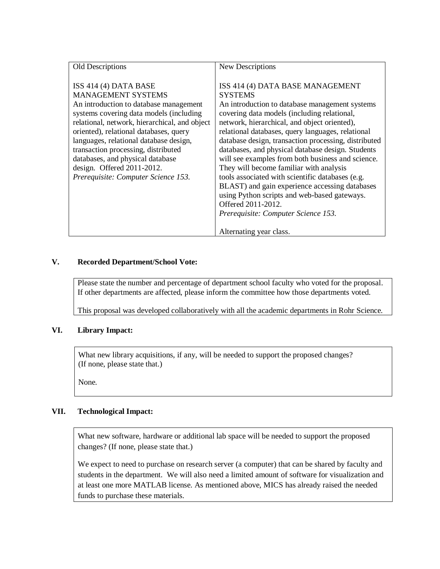| Old Descriptions                                                                                                                                                                                                                                                                                                                                                                                                                | New Descriptions                                                                                                                                                                                                                                                                                                                                                                                                                                                                                                                                                                                                                                                                                                    |
|---------------------------------------------------------------------------------------------------------------------------------------------------------------------------------------------------------------------------------------------------------------------------------------------------------------------------------------------------------------------------------------------------------------------------------|---------------------------------------------------------------------------------------------------------------------------------------------------------------------------------------------------------------------------------------------------------------------------------------------------------------------------------------------------------------------------------------------------------------------------------------------------------------------------------------------------------------------------------------------------------------------------------------------------------------------------------------------------------------------------------------------------------------------|
| ISS 414 (4) DATA BASE<br><b>MANAGEMENT SYSTEMS</b><br>An introduction to database management<br>systems covering data models (including<br>relational, network, hierarchical, and object<br>oriented), relational databases, query<br>languages, relational database design,<br>transaction processing, distributed<br>databases, and physical database<br>design. Offered $2011-2012$ .<br>Prerequisite: Computer Science 153. | ISS 414 (4) DATA BASE MANAGEMENT<br><b>SYSTEMS</b><br>An introduction to database management systems<br>covering data models (including relational,<br>network, hierarchical, and object oriented),<br>relational databases, query languages, relational<br>database design, transaction processing, distributed<br>databases, and physical database design. Students<br>will see examples from both business and science.<br>They will become familiar with analysis<br>tools associated with scientific databases (e.g.<br>BLAST) and gain experience accessing databases<br>using Python scripts and web-based gateways.<br>Offered 2011-2012.<br>Prerequisite: Computer Science 153.<br>Alternating year class. |
|                                                                                                                                                                                                                                                                                                                                                                                                                                 |                                                                                                                                                                                                                                                                                                                                                                                                                                                                                                                                                                                                                                                                                                                     |

### **V. Recorded Department/School Vote:**

Please state the number and percentage of department school faculty who voted for the proposal. If other departments are affected, please inform the committee how those departments voted.

This proposal was developed collaboratively with all the academic departments in Rohr Science.

#### **VI. Library Impact:**

What new library acquisitions, if any, will be needed to support the proposed changes? (If none, please state that.)

None.

# **VII. Technological Impact:**

What new software, hardware or additional lab space will be needed to support the proposed changes? (If none, please state that.)

We expect to need to purchase on research server (a computer) that can be shared by faculty and students in the department. We will also need a limited amount of software for visualization and at least one more MATLAB license. As mentioned above, MICS has already raised the needed funds to purchase these materials.